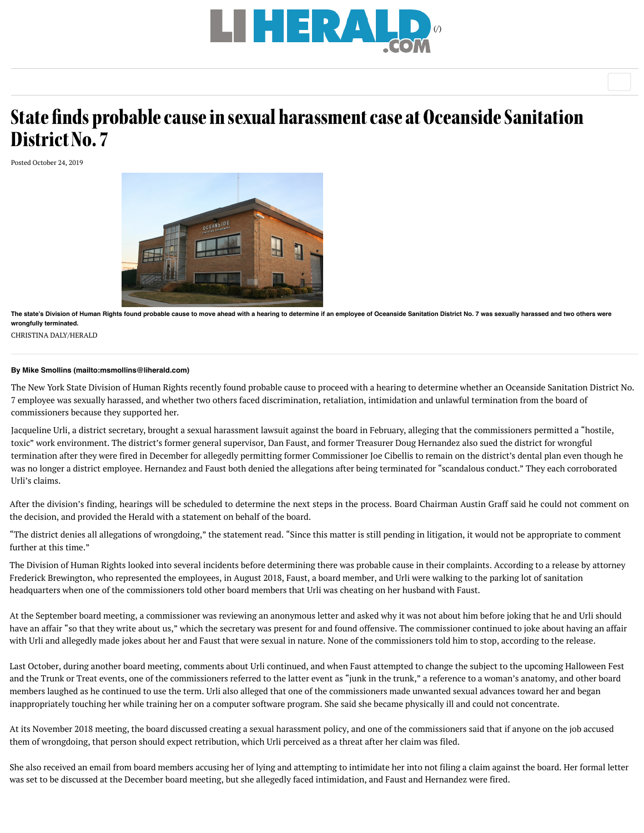

## State finds probable caus[e in sexual harassment case at Oc](https://www.liherald.com/)eanside Sanitation District No. 7

Posted October 24, 2019



**The state's Division of Human Right[s found probable cause to move ahead with a hearing to determine if an employee of Oceanside Sanitation District No. 7 was sexually ha](https://www.liherald.com/uploads/original/20191010-154838-OH%20Sanitation%201.jpg)rassed and two others were wrongfully terminated.**

CHRISTINA DALY/HERALD

## **By [Mike Smollins \(mailto:msmollins@liherald.com\)](mailto:msmollins@liherald.com)**

The New York State Division of Human Rights recently found probable cause to proceed with a hearing to determine whether an Oceanside Sanitation District No. 7 employee was sexually harassed, and whether two others faced discrimination, retaliation, intimidation and unlawful termination from the board of commissioners because they supported her.

Jacqueline Urli, a district secretary, brought a sexual harassment lawsuit against the board in February, alleging that the commissioners permitted a "hostile, toxic" work environment. The district's former general supervisor, Dan Faust, and former Treasurer Doug Hernandez also sued the district for wrongful termination after they were fired in December for allegedly permitting former Commissioner Joe Cibellis to remain on the district's dental plan even though he was no longer a district employee. Hernandez and Faust both denied the allegations after being terminated for "scandalous conduct." They each corroborated Urli's claims.

After the division's finding, hearings will be scheduled to determine the next steps in the process. Board Chairman Austin Graff said he could not comment on the decision, and provided the Herald with a statement on behalf of the board.

"The district denies all allegations of wrongdoing," the statement read. "Since this matter is still pending in litigation, it would not be appropriate to comment further at this time."

The Division of Human Rights looked into several incidents before determining there was probable cause in their complaints. According to a release by attorney Frederick Brewington, who represented the employees, in August 2018, Faust, a board member, and Urli were walking to the parking lot of sanitation headquarters when one of the commissioners told other board members that Urli was cheating on her husband with Faust.

At the September board meeting, a commissioner was reviewing an anonymous letter and asked why it was not about him before joking that he and Urli should have an affair "so that they write about us," which the secretary was present for and found offensive. The commissioner continued to joke about having an affair with Urli and allegedly made jokes about her and Faust that were sexual in nature. None of the commissioners told him to stop, according to the release.

Last October, during another board meeting, comments about Urli continued, and when Faust attempted to change the subject to the upcoming Halloween Fest and the Trunk or Treat events, one of the commissioners referred to the latter event as "junk in the trunk," a reference to a woman's anatomy, and other board members laughed as he continued to use the term. Urli also alleged that one of the commissioners made unwanted sexual advances toward her and began inappropriately touching her while training her on a computer software program. She said she became physically ill and could not concentrate.

At its November 2018 meeting, the board discussed creating a sexual harassment policy, and one of the commissioners said that if anyone on the job accused them of wrongdoing, that person should expect retribution, which Urli perceived as a threat after her claim was filed.

She also received an email from board members accusing her of lying and attempting to intimidate her into not filing a claim against the board. Her formal letter was set to be discussed at the December board meeting, but she allegedly faced intimidation, and Faust and Hernandez were fired.